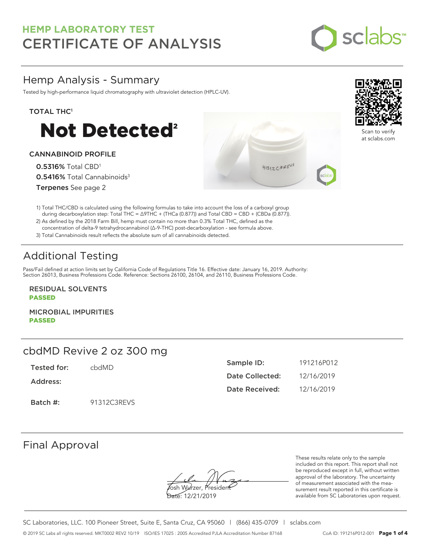

# Hemp Analysis - Summary

Tested by high-performance liquid chromatography with ultraviolet detection (HPLC-UV).

### TOTAL THC<sup>1</sup>



### CANNABINOID PROFILE

0.5316% Total CBD<sup>1</sup> 0.5416% Total Cannabinoids<sup>3</sup> Terpenes See page 2

1) Total THC/CBD is calculated using the following formulas to take into account the loss of a carboxyl group during decarboxylation step: Total THC = ∆9THC + (THCa (0.877)) and Total CBD = CBD + (CBDa (0.877)).

2) As defined by the 2018 Farm Bill, hemp must contain no more than 0.3% Total THC, defined as the concentration of delta-9 tetrahydrocannabinol (Δ-9-THC) post-decarboxylation - see formula above.

3) Total Cannabinoids result reflects the absolute sum of all cannabinoids detected.

# Additional Testing

Pass/Fail defined at action limits set by California Code of Regulations Title 16. Effective date: January 16, 2019. Authority: Section 26013, Business Professions Code. Reference: Sections 26100, 26104, and 26110, Business Professions Code.

RESIDUAL SOLVENTS PASSED

MICROBIAL IMPURITIES PASSED

# cbdMD Revive 2 oz 300 mg

Tested for: cbdMD

Address:

Batch #: 91312C3REVS

| Sample ID:      | 191216P012 |
|-----------------|------------|
| Date Collected: | 12/16/2019 |
| Date Received:  | 12/16/2019 |

### Final Approval

Yosh Wurzer, Presider

Date: 12/21/2019

These results relate only to the sample included on this report. This report shall not be reproduced except in full, without written approval of the laboratory. The uncertainty of measurement associated with the measurement result reported in this certificate is available from SC Laboratories upon request.



 $41312C3REV5$ 



at sclabs.com

SC Laboratories, LLC. 100 Pioneer Street, Suite E, Santa Cruz, CA 95060 | (866) 435-0709 | sclabs.com © 2019 SC Labs all rights reserved. MKT0002 REV2 10/19 ISO/IES 17025 : 2005 Accredited PJLA Accreditation Number 87168 CoA ID: 191216P012-001 **Page 1 of 4**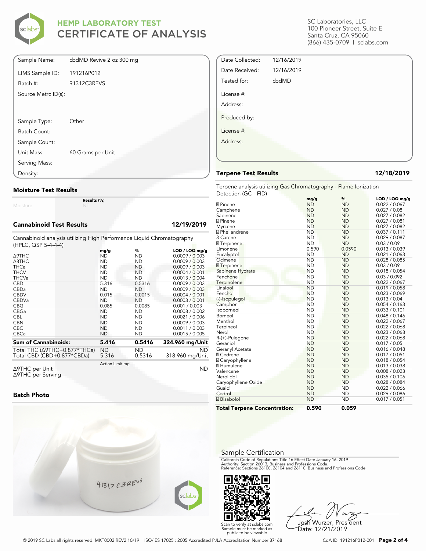

| Sample Name:        | cbdMD Revive 2 oz 300 mg |
|---------------------|--------------------------|
| LIMS Sample ID:     | 191216P012               |
| Batch #:            | 91312C3REVS              |
| Source Metrc ID(s): |                          |
|                     |                          |
|                     |                          |
| Sample Type:        | Other                    |
| Batch Count:        |                          |
| Sample Count:       |                          |
| Unit Mass:          | 60 Grams per Unit        |
| Serving Mass:       |                          |
| Density:            |                          |

#### **Moisture Test Results**

Moisture

#### **Cannabinoid Test Results 12/19/2019**

Cannabinoid analysis utilizing High Performance Liquid Chromatography (HPLC, QSP 5-4-4-4)

**Results (%)**

|                                          | mg/g            | %         | $LOD / LOQ$ mg/g |
|------------------------------------------|-----------------|-----------|------------------|
| $\triangle$ 9THC                         | ND              | ND        | 0.0009 / 0.003   |
| $\triangle$ 8THC                         | <b>ND</b>       | <b>ND</b> | 0.0009 / 0.003   |
| <b>THCa</b>                              | <b>ND</b>       | ND.       | 0.0009 / 0.003   |
| <b>THCV</b>                              | ND              | ND        | 0.0004 / 0.001   |
| <b>THCVa</b>                             | <b>ND</b>       | <b>ND</b> | 0.0013 / 0.004   |
| <b>CBD</b>                               | 5.316           | 0.5316    | 0.0009 / 0.003   |
| CBDa                                     | <b>ND</b>       | ND.       | 0.0009 / 0.003   |
| <b>CBDV</b>                              | 0.015           | 0.0015    | 0.0004 / 0.001   |
| <b>CBDVa</b>                             | <b>ND</b>       | <b>ND</b> | 0.0003 / 0.001   |
| <b>CBG</b>                               | 0.085           | 0.0085    | 0.001 / 0.003    |
| <b>CBGa</b>                              | <b>ND</b>       | <b>ND</b> | 0.0008 / 0.002   |
| <b>CBL</b>                               | ND              | ND        | 0.0021 / 0.006   |
| <b>CBN</b>                               | <b>ND</b>       | ND        | 0.0009 / 0.003   |
| <b>CBC</b>                               | <b>ND</b>       | <b>ND</b> | 0.0011 / 0.003   |
| <b>CBCa</b>                              | <b>ND</b>       | ND        | 0.0015 / 0.005   |
| <b>Sum of Cannabinoids:</b>              | 5.416           | 0.5416    | 324.960 mg/Unit  |
| Total THC ( $\triangle$ 9THC+0.877*THCa) | ND              | ND.       | ND.              |
| Total CBD (CBD+0.877*CBDa)               | 5.316           | 0.5316    | 318.960 mg/Unit  |
|                                          | Action Limit mg |           |                  |
| $\triangle$ 9THC per Unit                |                 |           | <b>ND</b>        |

Δ9THC per Unit Δ9THC per Serving

### **Batch Photo**



SC Laboratories, LLC 100 Pioneer Street, Suite E Santa Cruz, CA 95060 (866) 435-0709 | sclabs.com

| Date Collected: | 12/16/2019 |  |
|-----------------|------------|--|
| Date Received:  | 12/16/2019 |  |
| Tested for:     | cbdMD      |  |
| License #:      |            |  |
| Address:        |            |  |
| Produced by:    |            |  |
| License #:      |            |  |
| Address:        |            |  |
|                 |            |  |

#### **Terpene Test Results 12/18/2019**

Terpene analysis utilizing Gas Chromatography - Flame Ionization Detection (GC - FID)

|                                     | mg/g      | %         | LOD / LOQ mg/g |
|-------------------------------------|-----------|-----------|----------------|
| <b>2</b> Pinene                     | <b>ND</b> | <b>ND</b> | 0.022 / 0.067  |
| Camphene                            | <b>ND</b> | <b>ND</b> | 0.027 / 0.08   |
| Sabinene                            | <b>ND</b> | <b>ND</b> | 0.027 / 0.082  |
| <b>7</b> Pinene                     | <b>ND</b> | <b>ND</b> | 0.027 / 0.081  |
| Myrcene                             | <b>ND</b> | <b>ND</b> | 0.027 / 0.082  |
| <b>7</b> Phellandrene               | <b>ND</b> | <b>ND</b> | 0.037 / 0.111  |
| 3 Carene                            | <b>ND</b> | <b>ND</b> | 0.029 / 0.087  |
| <b>7</b> Terpinene                  | <b>ND</b> | <b>ND</b> | 0.03 / 0.09    |
| Limonene                            | 0.590     | 0.0590    | 0.013 / 0.039  |
| Eucalyptol                          | <b>ND</b> | <b>ND</b> | 0.021 / 0.063  |
| Ocimene                             | <b>ND</b> | <b>ND</b> | 0.028 / 0.085  |
| <b>7</b> Terpinene                  | <b>ND</b> | <b>ND</b> | 0.03 / 0.09    |
| Sabinene Hydrate                    | <b>ND</b> | <b>ND</b> | 0.018 / 0.054  |
| Fenchone                            | <b>ND</b> | <b>ND</b> | 0.03 / 0.092   |
| Terpinolene                         | <b>ND</b> | <b>ND</b> | 0.022 / 0.067  |
| Linalool                            | <b>ND</b> | <b>ND</b> | 0.019 / 0.058  |
| Fenchol                             | <b>ND</b> | <b>ND</b> | 0.023 / 0.069  |
| (-)-Isopulegol                      | <b>ND</b> | <b>ND</b> | 0.013 / 0.04   |
| Camphor                             | <b>ND</b> | <b>ND</b> | 0.054 / 0.163  |
| Isoborneol                          | <b>ND</b> | <b>ND</b> | 0.033 / 0.101  |
| Borneol                             | <b>ND</b> | <b>ND</b> | 0.048 / 0.146  |
| Menthol                             | <b>ND</b> | <b>ND</b> | 0.022 / 0.067  |
| Terpineol                           | <b>ND</b> | <b>ND</b> | 0.022 / 0.068  |
| Nerol                               | <b>ND</b> | <b>ND</b> | 0.023 / 0.068  |
| R-(+)-Pulegone                      | <b>ND</b> | <b>ND</b> | 0.022 / 0.068  |
| Geraniol                            | <b>ND</b> | <b>ND</b> | 0.017 / 0.05   |
| Geranyl Acetate                     | <b>ND</b> | <b>ND</b> | 0.016 / 0.048  |
| <b>7 Cedrene</b>                    | <b>ND</b> | <b>ND</b> | 0.017 / 0.051  |
| <b>2 Caryophyllene</b>              | <b>ND</b> | <b>ND</b> | 0.018 / 0.054  |
| <b>7 Humulene</b>                   | <b>ND</b> | <b>ND</b> | 0.013 / 0.038  |
| Valencene                           | <b>ND</b> | <b>ND</b> | 0.008 / 0.023  |
| Nerolidol                           | <b>ND</b> | <b>ND</b> | 0.035 / 0.106  |
| Caryophyllene Oxide                 | <b>ND</b> | <b>ND</b> | 0.028 / 0.084  |
| Guaiol                              | <b>ND</b> | <b>ND</b> | 0.022 / 0.066  |
| Cedrol                              | <b>ND</b> | <b>ND</b> | 0.029 / 0.086  |
| <b>7</b> Bisabolol                  | <b>ND</b> | <b>ND</b> | 0.017 / 0.051  |
| <b>Total Terpene Concentration:</b> | 0.590     | 0.059     |                |

#### Sample Certification

California Code of Regulations Title 16 Effect Date January 16, 2019<br>Authority: Section 26013, Business and Professions Code.<br>Reference: Sections 26100, 26104 and 26110, Business and Professions Code.



Josh Wurzer, President Date: 12/21/2019

© 2019 SC Labs all rights reserved. MKT0002 REV2 10/19 ISO/IES 17025 : 2005 Accredited PJLA Accreditation Number 87168 CoA ID: 191216P012-001 **Page 2 of 4**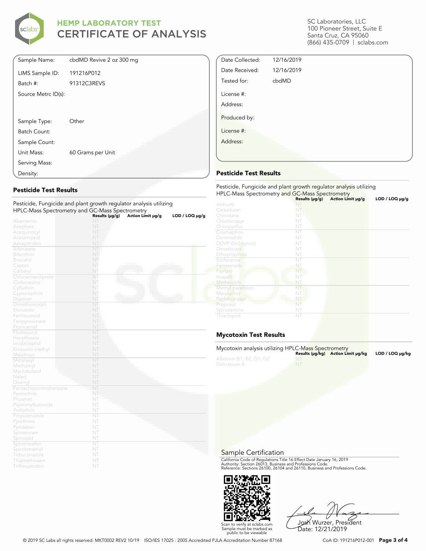

| Sample Name:        | cbdMD Revive 2 oz 300 mg |
|---------------------|--------------------------|
| LIMS Sample ID:     | 191216P012               |
| Batch #:            | 91312C3REVS              |
| Source Metrc ID(s): |                          |
|                     |                          |
| Sample Type:        | Other                    |
| Batch Count:        |                          |
| Sample Count:       |                          |
| Unit Mass:          | 60 Grams per Unit        |
| Serving Mass:       |                          |
| Density:            |                          |

### **Pesticide Test Results**

| Pesticide, Fungicide and plant growth regulator analysis utilizing |                        |                   |                |  |  |
|--------------------------------------------------------------------|------------------------|-------------------|----------------|--|--|
| HPLC-Mass Spectrometry and GC-Mass Spectrometry                    |                        |                   |                |  |  |
|                                                                    | Results (µg/g)         | Action Limit µg/g | LOD / LOO µg/g |  |  |
| Abamectin                                                          | NT                     |                   |                |  |  |
| Acephate                                                           | NT                     |                   |                |  |  |
| Acequinocyl                                                        | NT                     |                   |                |  |  |
| Acetamiprid                                                        | NT<br>NT               |                   |                |  |  |
| Azoxystrobin                                                       | NT                     |                   |                |  |  |
| <b>Bifenazate</b>                                                  |                        |                   |                |  |  |
| <b>Bifenthrin</b>                                                  | NT                     |                   |                |  |  |
| <b>Boscalid</b>                                                    | NT                     |                   |                |  |  |
| Captan                                                             | NT                     |                   |                |  |  |
| Carbaryl                                                           | NT                     |                   |                |  |  |
| Chlorantraniliprole                                                | NT                     |                   |                |  |  |
| Clofentezine                                                       | NT                     |                   |                |  |  |
| Cyfluthrin                                                         | NT                     |                   |                |  |  |
| Cypermethrin                                                       | NT                     |                   |                |  |  |
| Diazinon                                                           | NT                     |                   |                |  |  |
| Dimethomorph                                                       | NT                     |                   |                |  |  |
| Etoxazole                                                          | NT                     |                   |                |  |  |
| Fenhexamid                                                         | NT                     |                   |                |  |  |
| Fenpyroximate                                                      | NT                     |                   |                |  |  |
| Flonicamid                                                         | NT                     |                   |                |  |  |
| Fludioxonil                                                        | NT                     |                   |                |  |  |
| Hexythiazox                                                        | NT                     |                   |                |  |  |
| Imidacloprid                                                       | NT                     |                   |                |  |  |
| Kresoxim-methyl                                                    | NT                     |                   |                |  |  |
| Malathion                                                          | NT                     |                   |                |  |  |
| Metalaxyl                                                          | NT                     |                   |                |  |  |
| Methomyl                                                           | NT                     |                   |                |  |  |
| Myclobutanil                                                       | NT                     |                   |                |  |  |
| Naled                                                              | NT                     |                   |                |  |  |
| Oxamyl                                                             | NT                     |                   |                |  |  |
| Pentachloronitrobenzene                                            | NT                     |                   |                |  |  |
| Permethrin                                                         | NT                     |                   |                |  |  |
| Phosmet                                                            | NT                     |                   |                |  |  |
| Piperonylbutoxide                                                  | NT                     |                   |                |  |  |
| Prallethrin                                                        | NT                     |                   |                |  |  |
| Propiconazole                                                      | NT                     |                   |                |  |  |
| Pyrethrins                                                         | NT                     |                   |                |  |  |
| Pyridaben                                                          | NT                     |                   |                |  |  |
| Spinetoram                                                         | NT                     |                   |                |  |  |
| Spinosad                                                           | NT                     |                   |                |  |  |
| Spiromesifen                                                       | $\overline{\text{NT}}$ |                   |                |  |  |
| Spirotetramat                                                      | NT                     |                   |                |  |  |
| Tebuconazole                                                       | NT                     |                   |                |  |  |
| Thiamethoxam                                                       | NT                     |                   |                |  |  |
| Trifloxystrobin                                                    | NT                     |                   |                |  |  |

SC Laboratories, LLC 100 Pioneer Street, Suite E Santa Cruz, CA 95060 (866) 435-0709 | sclabs.com

| Date Collected: | 12/16/2019 |  |
|-----------------|------------|--|
| Date Received:  | 12/16/2019 |  |
| Tested for:     | cbdMD      |  |
| License #:      |            |  |
| Address:        |            |  |
| Produced by:    |            |  |
| License #:      |            |  |
| Address:        |            |  |
|                 |            |  |

### **Pesticide Test Results**

| Pesticide, Fungicide and plant growth regulator analysis utilizing<br>HPLC-Mass Spectrometry and GC-Mass Spectrometry |                |                   |                |  |
|-----------------------------------------------------------------------------------------------------------------------|----------------|-------------------|----------------|--|
|                                                                                                                       | Results (µg/g) | Action Limit µg/g | LOD / LOQ µg/g |  |
| Aldicarb                                                                                                              |                |                   |                |  |
| Carbofuran                                                                                                            | NT             |                   |                |  |
| Chlordane                                                                                                             | NT             |                   |                |  |
| Chlorfenapyr                                                                                                          | NT             |                   |                |  |
| Chlorpyrifos                                                                                                          | NT             |                   |                |  |
| Coumaphos                                                                                                             | NT             |                   |                |  |
| Daminozide                                                                                                            | NT             |                   |                |  |
| <b>DDVP</b> (Dichlorvos)                                                                                              | NT             |                   |                |  |
| Dimethoate                                                                                                            | NT             |                   |                |  |
| Ethoprop(hos)                                                                                                         | NT             |                   |                |  |
| Etofenprox                                                                                                            | NT             |                   |                |  |
| Fenoxycarb                                                                                                            | NT             |                   |                |  |
| Fipronil                                                                                                              | NT             |                   |                |  |
| Imazalil                                                                                                              | NT             |                   |                |  |
| Methiocarb                                                                                                            | NT             |                   |                |  |
| Methyl parathion                                                                                                      | NT             |                   |                |  |
| Mevinphos                                                                                                             | NT             |                   |                |  |
| Paclobutrazol                                                                                                         | NT             |                   |                |  |
| Propoxur                                                                                                              | NT             |                   |                |  |
| Spiroxamine                                                                                                           | NT             |                   |                |  |
| Thiacloprid                                                                                                           | NT             |                   |                |  |

### **Mycotoxin Test Results**

| Mycotoxin analysis utilizing HPLC-Mass Spectrometry | Results (µq/kq) Action Limit µq/kq | LOD / LOQ µq/kq |
|-----------------------------------------------------|------------------------------------|-----------------|
| Aflatoxin B1, B2, G1, G2<br>Ochratoxin A            |                                    |                 |

#### Sample Certification

California Code of Regulations Title 16 Effect Date January 16, 2019<br>Authority: Section 26013, Business and Professions Code.<br>Reference: Sections 26100, 26104 and 26110, Business and Professions Code.



Josh Wurzer, President

Date: 12/21/2019

Scan to verify at sclabs.com Sample must be marked as public to be viewable